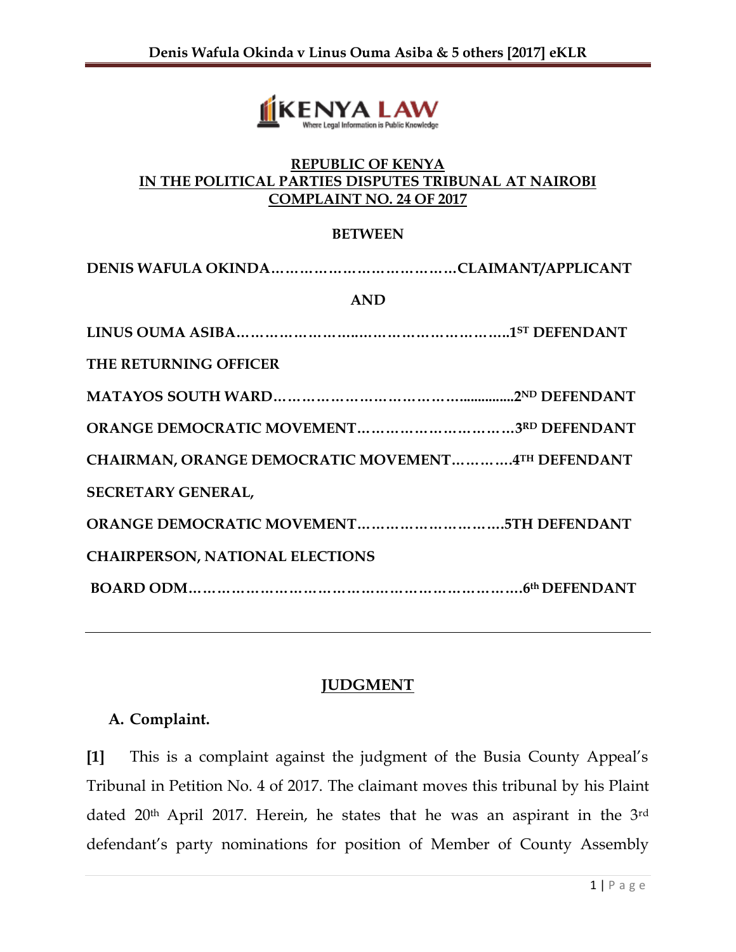

#### **REPUBLIC OF KENYA IN THE POLITICAL PARTIES DISPUTES TRIBUNAL AT NAIROBI COMPLAINT NO. 24 OF 2017**

#### **BETWEEN**

| <b>AND</b>                                        |
|---------------------------------------------------|
|                                                   |
| THE RETURNING OFFICER                             |
|                                                   |
|                                                   |
| CHAIRMAN, ORANGE DEMOCRATIC MOVEMENT4TH DEFENDANT |
| SECRETARY GENERAL,                                |
|                                                   |
| <b>CHAIRPERSON, NATIONAL ELECTIONS</b>            |
|                                                   |
|                                                   |

# **JUDGMENT**

#### **A. Complaint.**

**[1]** This is a complaint against the judgment of the Busia County Appeal's Tribunal in Petition No. 4 of 2017. The claimant moves this tribunal by his Plaint dated 20<sup>th</sup> April 2017. Herein, he states that he was an aspirant in the 3<sup>rd</sup> defendant's party nominations for position of Member of County Assembly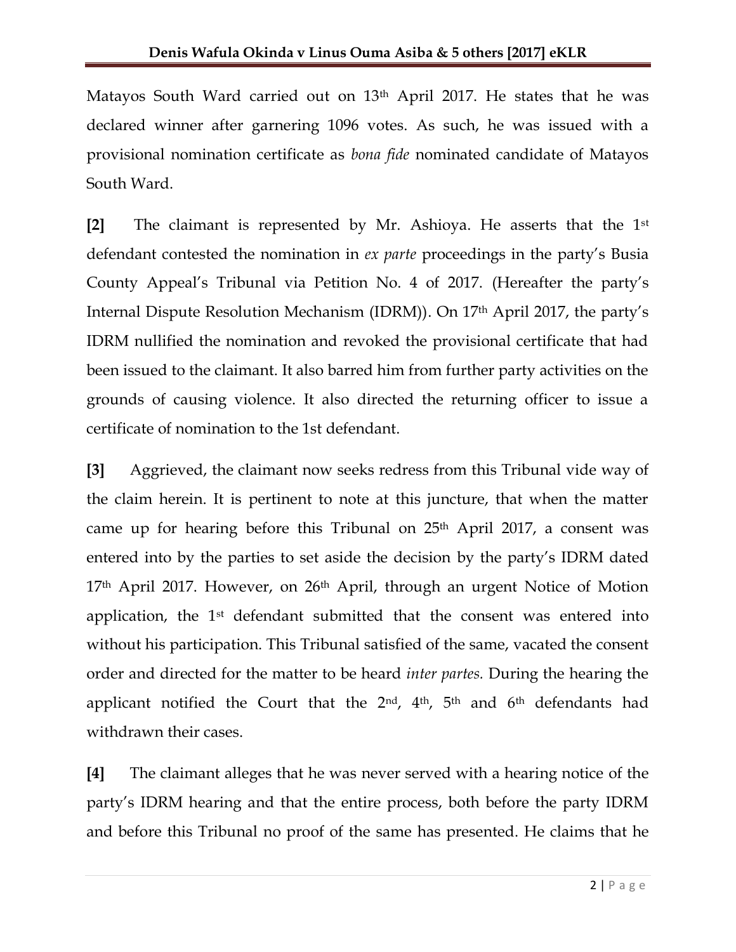Matayos South Ward carried out on 13<sup>th</sup> April 2017. He states that he was declared winner after garnering 1096 votes. As such, he was issued with a provisional nomination certificate as *bona fide* nominated candidate of Matayos South Ward.

**[2]** The claimant is represented by Mr. Ashioya. He asserts that the 1st defendant contested the nomination in *ex parte* proceedings in the party's Busia County Appeal's Tribunal via Petition No. 4 of 2017. (Hereafter the party's Internal Dispute Resolution Mechanism (IDRM)). On 17th April 2017, the party's IDRM nullified the nomination and revoked the provisional certificate that had been issued to the claimant. It also barred him from further party activities on the grounds of causing violence. It also directed the returning officer to issue a certificate of nomination to the 1st defendant.

**[3]** Aggrieved, the claimant now seeks redress from this Tribunal vide way of the claim herein. It is pertinent to note at this juncture, that when the matter came up for hearing before this Tribunal on 25<sup>th</sup> April 2017, a consent was entered into by the parties to set aside the decision by the party's IDRM dated 17<sup>th</sup> April 2017. However, on 26<sup>th</sup> April, through an urgent Notice of Motion application, the 1st defendant submitted that the consent was entered into without his participation. This Tribunal satisfied of the same, vacated the consent order and directed for the matter to be heard *inter partes.* During the hearing the applicant notified the Court that the 2<sup>nd</sup>, 4<sup>th</sup>, 5<sup>th</sup> and 6<sup>th</sup> defendants had withdrawn their cases.

**[4]** The claimant alleges that he was never served with a hearing notice of the party's IDRM hearing and that the entire process, both before the party IDRM and before this Tribunal no proof of the same has presented. He claims that he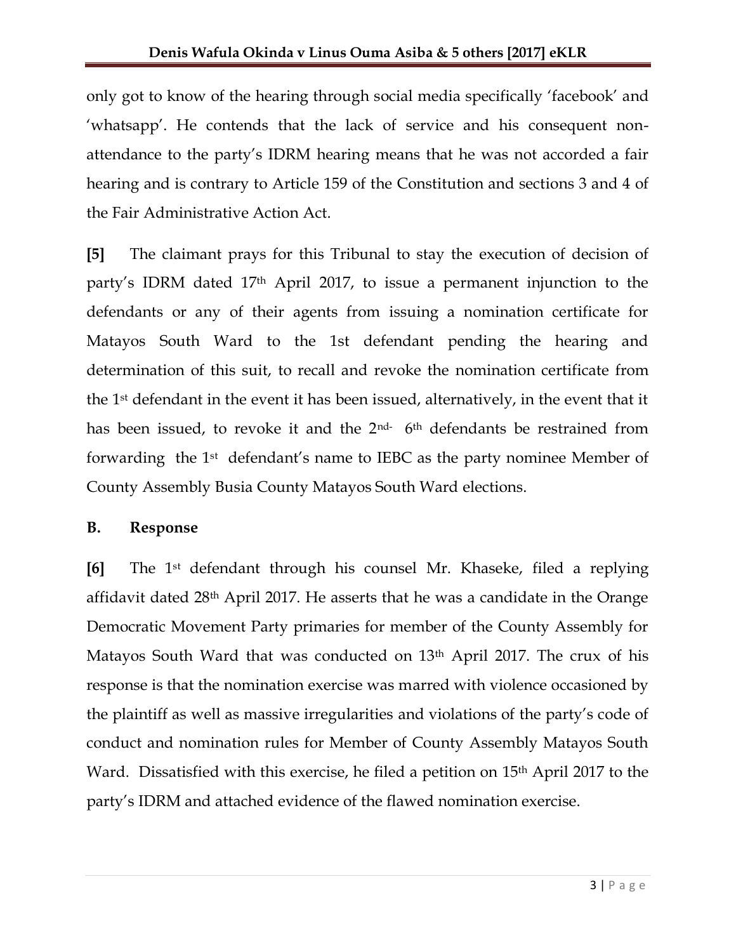only got to know of the hearing through social media specifically 'facebook' and 'whatsapp'. He contends that the lack of service and his consequent nonattendance to the party's IDRM hearing means that he was not accorded a fair hearing and is contrary to Article 159 of the Constitution and sections 3 and 4 of the Fair Administrative Action Act.

**[5]** The claimant prays for this Tribunal to stay the execution of decision of party's IDRM dated 17th April 2017, to issue a permanent injunction to the defendants or any of their agents from issuing a nomination certificate for Matayos South Ward to the 1st defendant pending the hearing and determination of this suit, to recall and revoke the nomination certificate from the 1st defendant in the event it has been issued, alternatively, in the event that it has been issued, to revoke it and the  $2<sup>nd-</sup> 6<sup>th</sup>$  defendants be restrained from forwarding the 1st defendant's name to IEBC as the party nominee Member of County Assembly Busia County Matayos South Ward elections.

#### **B. Response**

**[6]** The 1st defendant through his counsel Mr. Khaseke, filed a replying affidavit dated 28th April 2017. He asserts that he was a candidate in the Orange Democratic Movement Party primaries for member of the County Assembly for Matayos South Ward that was conducted on 13<sup>th</sup> April 2017. The crux of his response is that the nomination exercise was marred with violence occasioned by the plaintiff as well as massive irregularities and violations of the party's code of conduct and nomination rules for Member of County Assembly Matayos South Ward. Dissatisfied with this exercise, he filed a petition on 15th April 2017 to the party's IDRM and attached evidence of the flawed nomination exercise.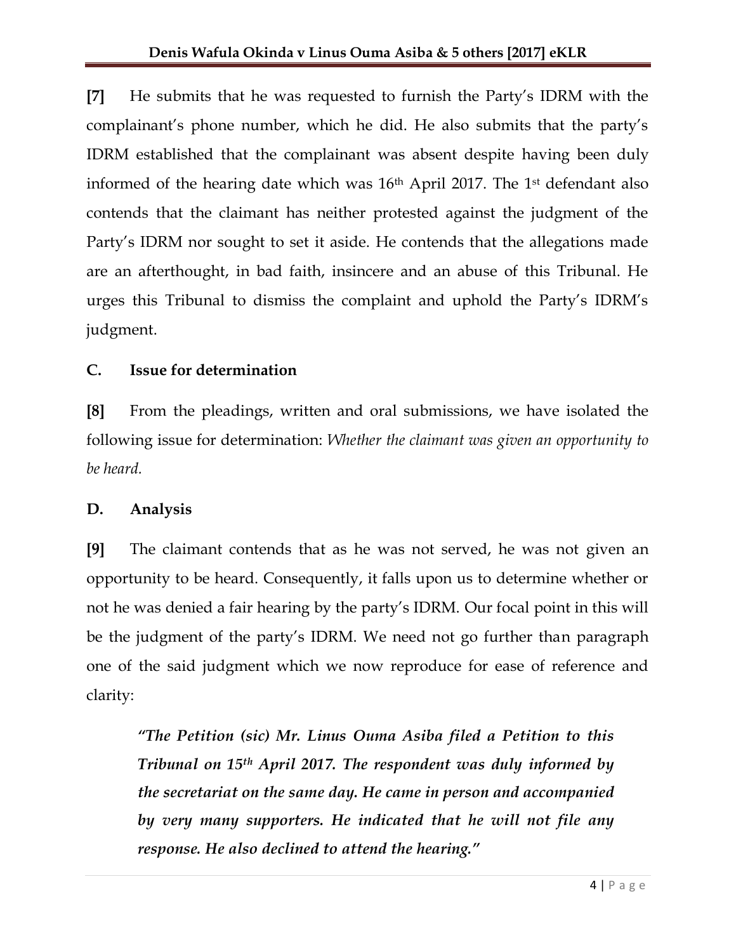**[7]** He submits that he was requested to furnish the Party's IDRM with the complainant's phone number, which he did. He also submits that the party's IDRM established that the complainant was absent despite having been duly informed of the hearing date which was 16<sup>th</sup> April 2017. The 1<sup>st</sup> defendant also contends that the claimant has neither protested against the judgment of the Party's IDRM nor sought to set it aside. He contends that the allegations made are an afterthought, in bad faith, insincere and an abuse of this Tribunal. He urges this Tribunal to dismiss the complaint and uphold the Party's IDRM's judgment.

# **C. Issue for determination**

**[8]** From the pleadings, written and oral submissions, we have isolated the following issue for determination: *Whether the claimant was given an opportunity to be heard.*

# **D. Analysis**

**[9]** The claimant contends that as he was not served, he was not given an opportunity to be heard. Consequently, it falls upon us to determine whether or not he was denied a fair hearing by the party's IDRM. Our focal point in this will be the judgment of the party's IDRM. We need not go further than paragraph one of the said judgment which we now reproduce for ease of reference and clarity:

*"The Petition (sic) Mr. Linus Ouma Asiba filed a Petition to this Tribunal on 15th April 2017. The respondent was duly informed by the secretariat on the same day. He came in person and accompanied by very many supporters. He indicated that he will not file any response. He also declined to attend the hearing."*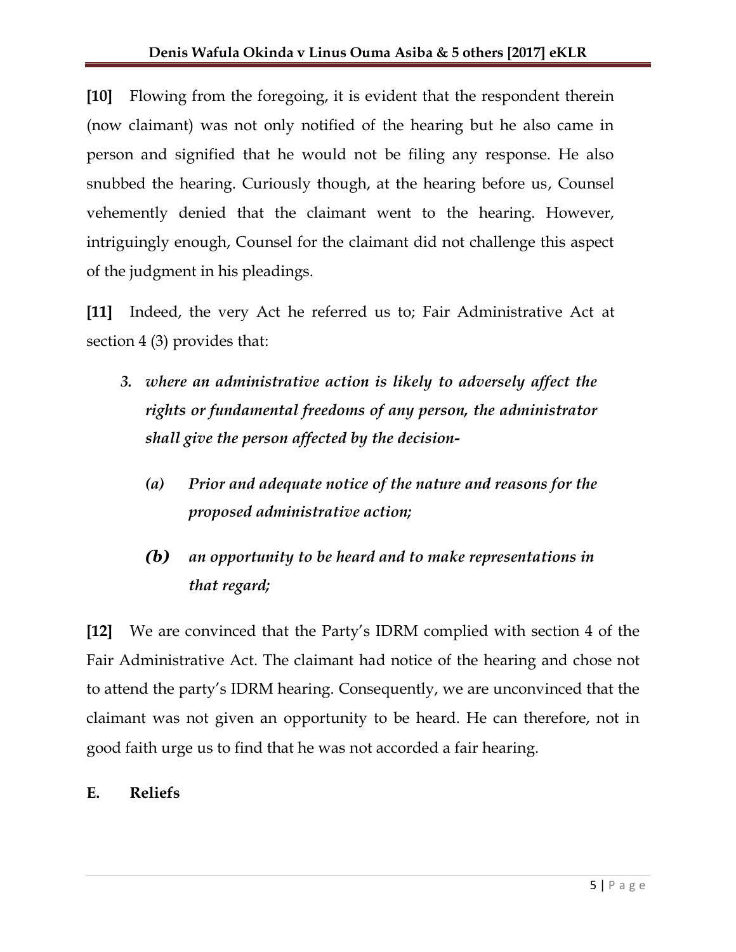**[10]** Flowing from the foregoing, it is evident that the respondent therein (now claimant) was not only notified of the hearing but he also came in person and signified that he would not be filing any response. He also snubbed the hearing. Curiously though, at the hearing before us, Counsel vehemently denied that the claimant went to the hearing. However, intriguingly enough, Counsel for the claimant did not challenge this aspect of the judgment in his pleadings.

**[11]** Indeed, the very Act he referred us to; Fair Administrative Act at section 4 (3) provides that:

- *3. where an administrative action is likely to adversely affect the rights or fundamental freedoms of any person, the administrator shall give the person affected by the decision-*
	- *(a) Prior and adequate notice of the nature and reasons for the proposed administrative action;*

# *(b) an opportunity to be heard and to make representations in that regard;*

**[12]** We are convinced that the Party's IDRM complied with section 4 of the Fair Administrative Act. The claimant had notice of the hearing and chose not to attend the party's IDRM hearing. Consequently, we are unconvinced that the claimant was not given an opportunity to be heard. He can therefore, not in good faith urge us to find that he was not accorded a fair hearing.

# **E. Reliefs**